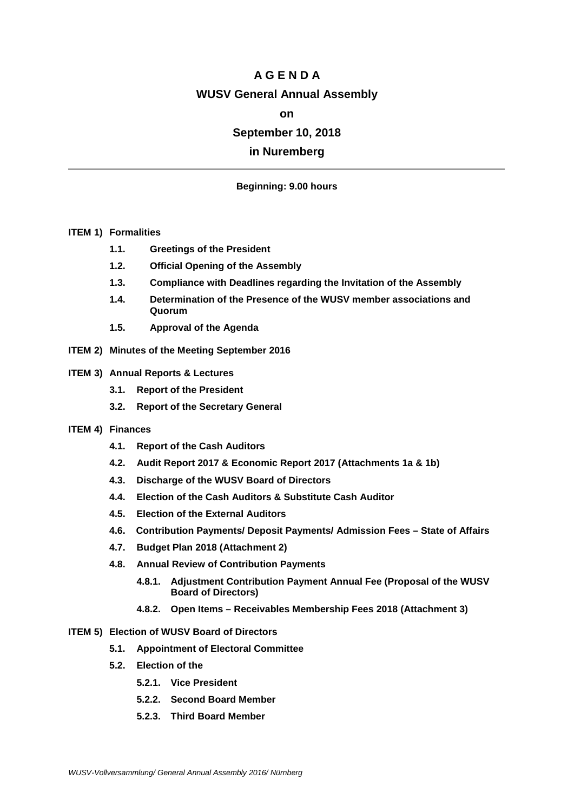# **A G E N D A WUSV General Annual Assembly**

## **on**

## **September 10, 2018**

## **in Nuremberg**

## **Beginning: 9.00 hours**

#### **ITEM 1) Formalities**

- **1.1. Greetings of the President**
- **1.2. Official Opening of the Assembly**
- **1.3. Compliance with Deadlines regarding the Invitation of the Assembly**
- **1.4. Determination of the Presence of the WUSV member associations and Quorum**
- **1.5. Approval of the Agenda**
- **ITEM 2) Minutes of the Meeting September 2016**

#### **ITEM 3) Annual Reports & Lectures**

- **3.1. Report of the President**
- **3.2. Report of the Secretary General**

## **ITEM 4) Finances**

- **4.1. Report of the Cash Auditors**
- **4.2. Audit Report 2017 & Economic Report 2017 (Attachments 1a & 1b)**
- **4.3. Discharge of the WUSV Board of Directors**
- **4.4. Election of the Cash Auditors & Substitute Cash Auditor**
- **4.5. Election of the External Auditors**
- **4.6. Contribution Payments/ Deposit Payments/ Admission Fees – State of Affairs**
- **4.7. Budget Plan 2018 (Attachment 2)**
- **4.8. Annual Review of Contribution Payments** 
	- **4.8.1. Adjustment Contribution Payment Annual Fee (Proposal of the WUSV Board of Directors)**
	- **4.8.2. Open Items – Receivables Membership Fees 2018 (Attachment 3)**
- **ITEM 5) Election of WUSV Board of Directors**
	- **5.1. Appointment of Electoral Committee**
	- **5.2. Election of the** 
		- **5.2.1. Vice President**
		- **5.2.2. Second Board Member**
		- **5.2.3. Third Board Member**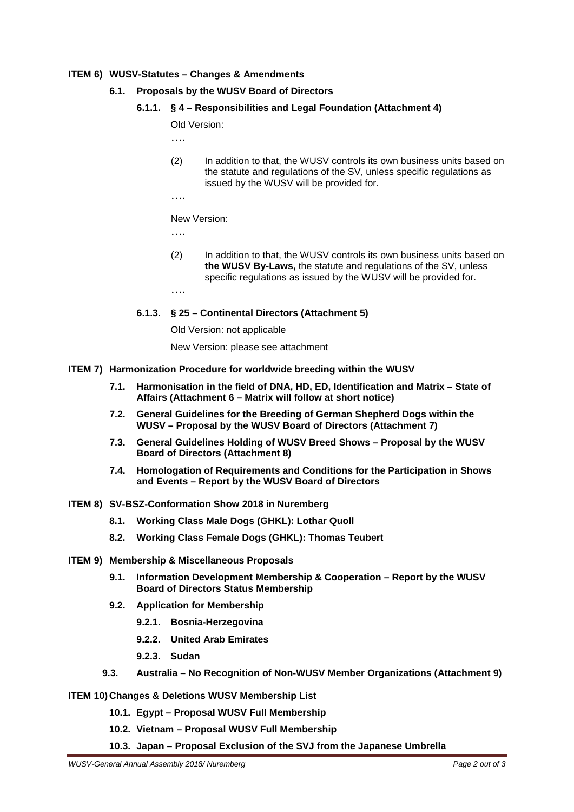#### **ITEM 6) WUSV-Statutes – Changes & Amendments**

- **6.1. Proposals by the WUSV Board of Directors** 
	- **6.1.1. § 4 – Responsibilities and Legal Foundation (Attachment 4)**

Old Version:

….

- (2) In addition to that, the WUSV controls its own business units based on the statute and regulations of the SV, unless specific regulations as issued by the WUSV will be provided for.
- ….

New Version:

….

(2) In addition to that, the WUSV controls its own business units based on **the WUSV By-Laws,** the statute and regulations of the SV, unless specific regulations as issued by the WUSV will be provided for.

….

**6.1.3. § 25 – Continental Directors (Attachment 5)**

Old Version: not applicable

New Version: please see attachment

#### **ITEM 7) Harmonization Procedure for worldwide breeding within the WUSV**

- **7.1. Harmonisation in the field of DNA, HD, ED, Identification and Matrix – State of Affairs (Attachment 6 – Matrix will follow at short notice)**
- **7.2. General Guidelines for the Breeding of German Shepherd Dogs within the WUSV – Proposal by the WUSV Board of Directors (Attachment 7)**
- **7.3. General Guidelines Holding of WUSV Breed Shows – Proposal by the WUSV Board of Directors (Attachment 8)**
- **7.4. Homologation of Requirements and Conditions for the Participation in Shows and Events – Report by the WUSV Board of Directors**
- **ITEM 8) SV-BSZ-Conformation Show 2018 in Nuremberg** 
	- **8.1. Working Class Male Dogs (GHKL): Lothar Quoll**
	- **8.2. Working Class Female Dogs (GHKL): Thomas Teubert**
- **ITEM 9) Membership & Miscellaneous Proposals** 
	- **9.1. Information Development Membership & Cooperation – Report by the WUSV Board of Directors Status Membership**
	- **9.2. Application for Membership** 
		- **9.2.1. Bosnia-Herzegovina**
		- **9.2.2. United Arab Emirates**
		- **9.2.3. Sudan**
	- **9.3. Australia – No Recognition of Non-WUSV Member Organizations (Attachment 9)**

#### **ITEM 10) Changes & Deletions WUSV Membership List**

- **10.1. Egypt – Proposal WUSV Full Membership**
- **10.2. Vietnam – Proposal WUSV Full Membership**
- **10.3. Japan – Proposal Exclusion of the SVJ from the Japanese Umbrella**